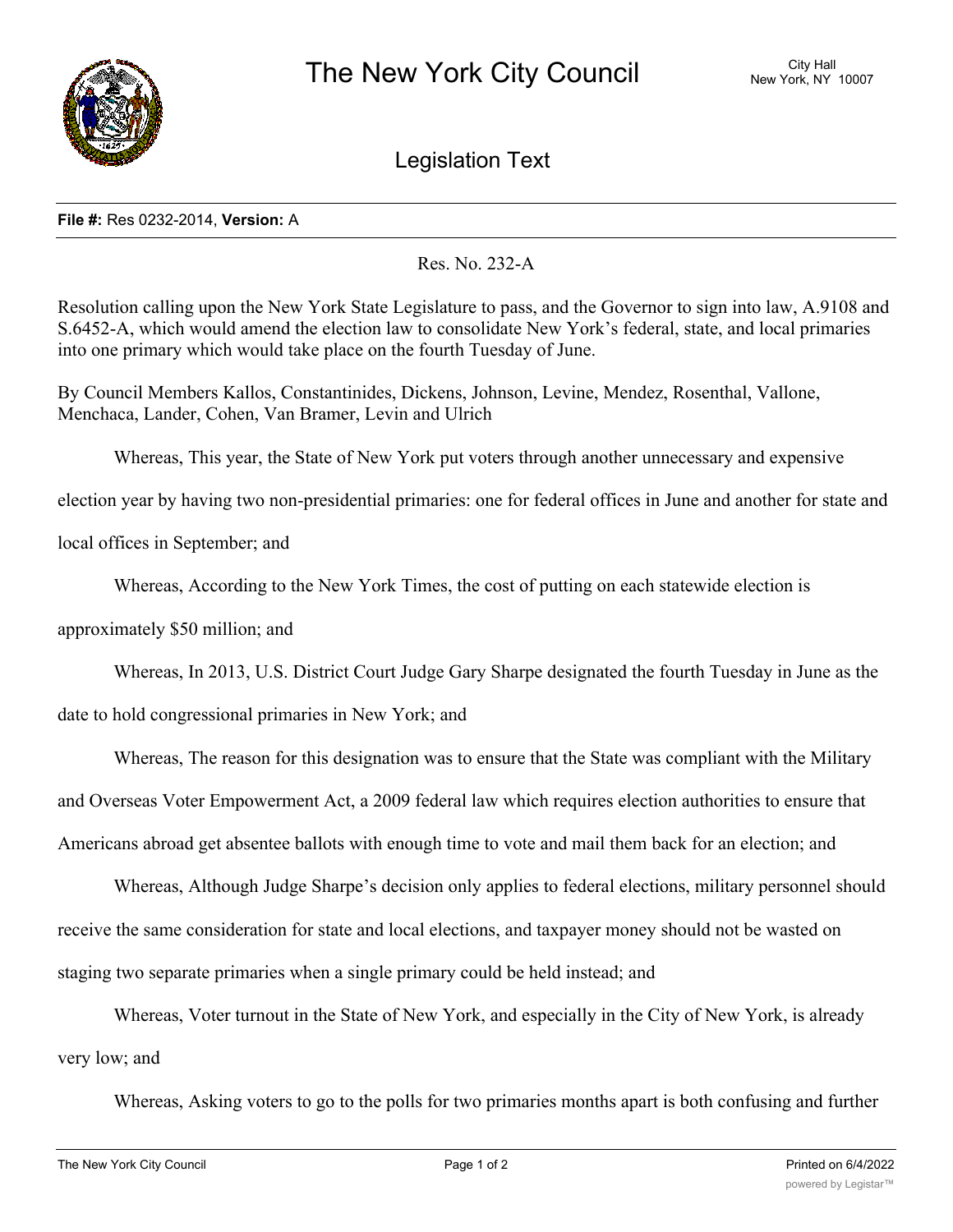

Legislation Text

## **File #:** Res 0232-2014, **Version:** A

Res. No. 232-A

Resolution calling upon the New York State Legislature to pass, and the Governor to sign into law, A.9108 and S.6452-A, which would amend the election law to consolidate New York's federal, state, and local primaries into one primary which would take place on the fourth Tuesday of June.

By Council Members Kallos, Constantinides, Dickens, Johnson, Levine, Mendez, Rosenthal, Vallone, Menchaca, Lander, Cohen, Van Bramer, Levin and Ulrich

Whereas, This year, the State of New York put voters through another unnecessary and expensive

election year by having two non-presidential primaries: one for federal offices in June and another for state and

local offices in September; and

Whereas, According to the New York Times, the cost of putting on each statewide election is

approximately \$50 million; and

Whereas, In 2013, U.S. District Court Judge Gary Sharpe designated the fourth Tuesday in June as the

date to hold congressional primaries in New York; and

Whereas, The reason for this designation was to ensure that the State was compliant with the Military

and Overseas Voter Empowerment Act, a 2009 federal law which requires election authorities to ensure that

Americans abroad get absentee ballots with enough time to vote and mail them back for an election; and

Whereas, Although Judge Sharpe's decision only applies to federal elections, military personnel should receive the same consideration for state and local elections, and taxpayer money should not be wasted on staging two separate primaries when a single primary could be held instead; and

Whereas, Voter turnout in the State of New York, and especially in the City of New York, is already

very low; and

Whereas, Asking voters to go to the polls for two primaries months apart is both confusing and further